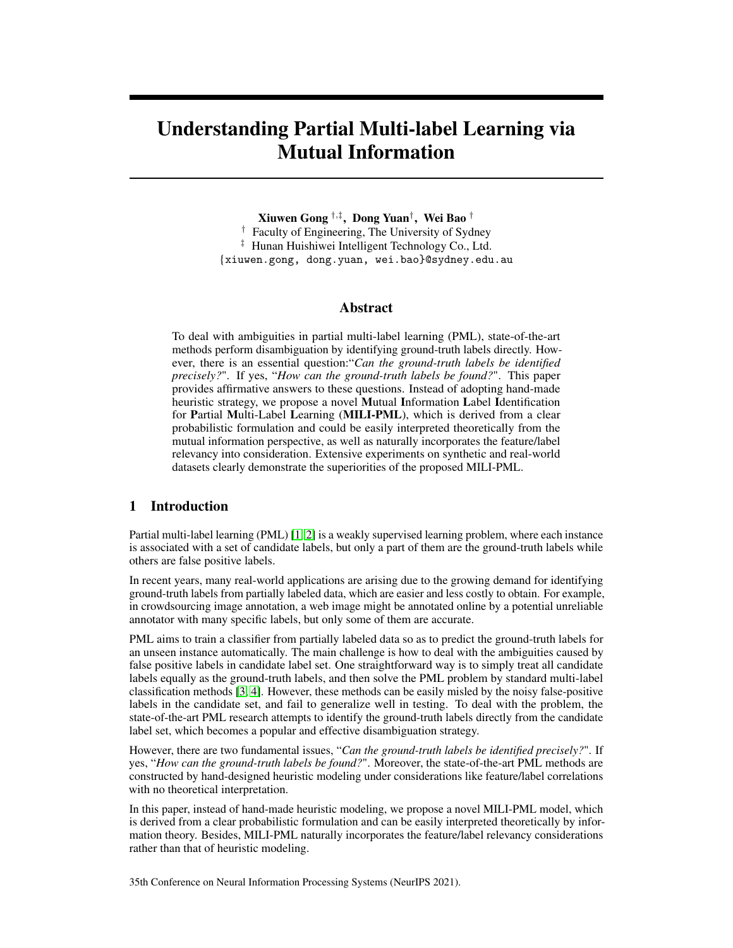# Understanding Partial Multi-label Learning via Mutual Information

Xiuwen Gong †,‡ , Dong Yuan† , Wei Bao † † Faculty of Engineering, The University of Sydney ‡ Hunan Huishiwei Intelligent Technology Co., Ltd. {xiuwen.gong, dong.yuan, wei.bao}@sydney.edu.au

#### Abstract

To deal with ambiguities in partial multi-label learning (PML), state-of-the-art methods perform disambiguation by identifying ground-truth labels directly. However, there is an essential question:"*Can the ground-truth labels be identified precisely?*". If yes, "*How can the ground-truth labels be found?*". This paper provides affirmative answers to these questions. Instead of adopting hand-made heuristic strategy, we propose a novel Mutual Information Label Identification for Partial Multi-Label Learning (MILI-PML), which is derived from a clear probabilistic formulation and could be easily interpreted theoretically from the mutual information perspective, as well as naturally incorporates the feature/label relevancy into consideration. Extensive experiments on synthetic and real-world datasets clearly demonstrate the superiorities of the proposed MILI-PML.

# 1 Introduction

Partial multi-label learning (PML) [\[1,](#page-9-0) [2\]](#page-9-1) is a weakly supervised learning problem, where each instance is associated with a set of candidate labels, but only a part of them are the ground-truth labels while others are false positive labels.

In recent years, many real-world applications are arising due to the growing demand for identifying ground-truth labels from partially labeled data, which are easier and less costly to obtain. For example, in crowdsourcing image annotation, a web image might be annotated online by a potential unreliable annotator with many specific labels, but only some of them are accurate.

PML aims to train a classifier from partially labeled data so as to predict the ground-truth labels for an unseen instance automatically. The main challenge is how to deal with the ambiguities caused by false positive labels in candidate label set. One straightforward way is to simply treat all candidate labels equally as the ground-truth labels, and then solve the PML problem by standard multi-label classification methods [\[3,](#page-9-2) [4\]](#page-9-3). However, these methods can be easily misled by the noisy false-positive labels in the candidate set, and fail to generalize well in testing. To deal with the problem, the state-of-the-art PML research attempts to identify the ground-truth labels directly from the candidate label set, which becomes a popular and effective disambiguation strategy.

However, there are two fundamental issues, "*Can the ground-truth labels be identified precisely?*". If yes, "*How can the ground-truth labels be found?*". Moreover, the state-of-the-art PML methods are constructed by hand-designed heuristic modeling under considerations like feature/label correlations with no theoretical interpretation.

In this paper, instead of hand-made heuristic modeling, we propose a novel MILI-PML model, which is derived from a clear probabilistic formulation and can be easily interpreted theoretically by information theory. Besides, MILI-PML naturally incorporates the feature/label relevancy considerations rather than that of heuristic modeling.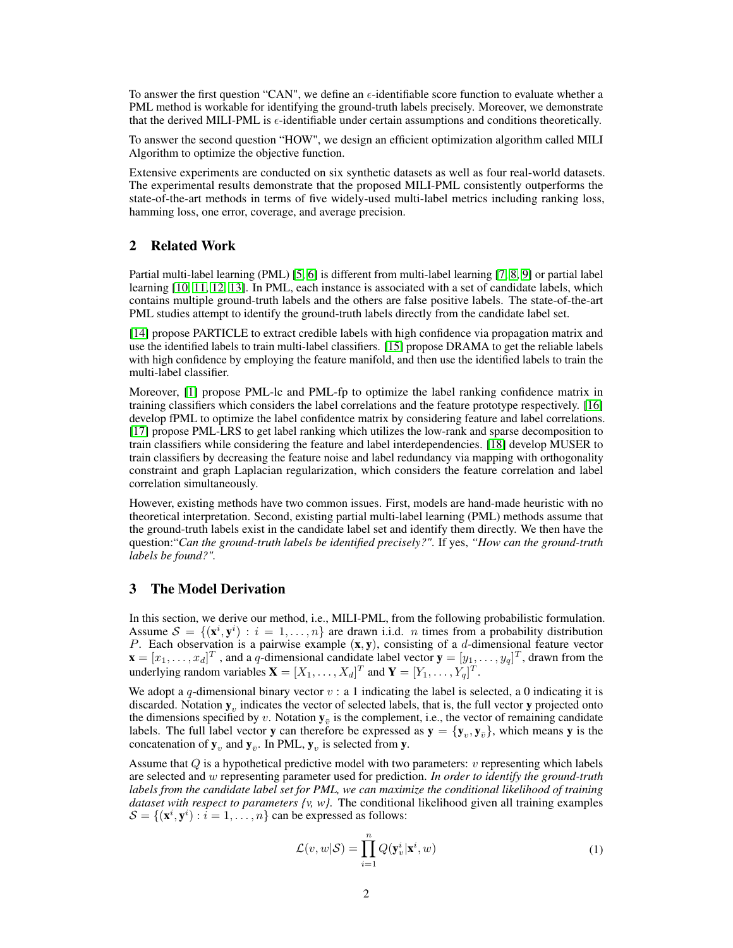To answer the first question "CAN", we define an  $\epsilon$ -identifiable score function to evaluate whether a PML method is workable for identifying the ground-truth labels precisely. Moreover, we demonstrate that the derived MILI-PML is  $\epsilon$ -identifiable under certain assumptions and conditions theoretically.

To answer the second question "HOW", we design an efficient optimization algorithm called MILI Algorithm to optimize the objective function.

Extensive experiments are conducted on six synthetic datasets as well as four real-world datasets. The experimental results demonstrate that the proposed MILI-PML consistently outperforms the state-of-the-art methods in terms of five widely-used multi-label metrics including ranking loss, hamming loss, one error, coverage, and average precision.

# 2 Related Work

Partial multi-label learning (PML) [\[5,](#page-9-4) [6\]](#page-9-5) is different from multi-label learning [\[7,](#page-9-6) [8,](#page-9-7) [9\]](#page-9-8) or partial label learning [\[10,](#page-9-9) [11,](#page-9-10) [12,](#page-9-11) [13\]](#page-9-12). In PML, each instance is associated with a set of candidate labels, which contains multiple ground-truth labels and the others are false positive labels. The state-of-the-art PML studies attempt to identify the ground-truth labels directly from the candidate label set.

[\[14\]](#page-9-13) propose PARTICLE to extract credible labels with high confidence via propagation matrix and use the identified labels to train multi-label classifiers. [\[15\]](#page-9-14) propose DRAMA to get the reliable labels with high confidence by employing the feature manifold, and then use the identified labels to train the multi-label classifier.

Moreover, [\[1\]](#page-9-0) propose PML-lc and PML-fp to optimize the label ranking confidence matrix in training classifiers which considers the label correlations and the feature prototype respectively. [\[16\]](#page-9-15) develop fPML to optimize the label confidentce matrix by considering feature and label correlations. [\[17\]](#page-9-16) propose PML-LRS to get label ranking which utilizes the low-rank and sparse decomposition to train classifiers while considering the feature and label interdependencies. [\[18\]](#page-9-17) develop MUSER to train classifiers by decreasing the feature noise and label redundancy via mapping with orthogonality constraint and graph Laplacian regularization, which considers the feature correlation and label correlation simultaneously.

However, existing methods have two common issues. First, models are hand-made heuristic with no theoretical interpretation. Second, existing partial multi-label learning (PML) methods assume that the ground-truth labels exist in the candidate label set and identify them directly. We then have the question:"*Can the ground-truth labels be identified precisely?"*. If yes, *"How can the ground-truth labels be found?".*

# 3 The Model Derivation

In this section, we derive our method, i.e., MILI-PML, from the following probabilistic formulation. Assume  $S = \{(\mathbf{x}^i, \mathbf{y}^i) : i = 1, \dots, n\}$  are drawn i.i.d. *n* times from a probability distribution P. Each observation is a pairwise example  $(x, y)$ , consisting of a d-dimensional feature vector  $\mathbf{x} = [x_1, \dots, x_d]^T$ , and a q-dimensional candidate label vector  $\mathbf{y} = [y_1, \dots, y_q]^T$ , drawn from the underlying random variables  $\mathbf{X} = [X_1, \dots, X_d]^T$  and  $\mathbf{Y} = [Y_1, \dots, Y_q]^T$ .

We adopt a q-dimensional binary vector  $v : a 1$  indicating the label is selected, a 0 indicating it is discarded. Notation  $y_v$  indicates the vector of selected labels, that is, the full vector  $y$  projected onto the dimensions specified by v. Notation  $y_{\bar{v}}$  is the complement, i.e., the vector of remaining candidate labels. The full label vector y can therefore be expressed as  $y = \{y_v, y_{\bar{v}}\}$ , which means y is the concatenation of  $y_v$  and  $y_{\bar{v}}$ . In PML,  $y_v$  is selected from y.

Assume that  $Q$  is a hypothetical predictive model with two parameters:  $v$  representing which labels are selected and w representing parameter used for prediction. *In order to identify the ground-truth labels from the candidate label set for PML, we can maximize the conditional likelihood of training dataset with respect to parameters {v, w}.* The conditional likelihood given all training examples  $\mathcal{S} = \{(\mathbf{x}^i, \mathbf{y}^i) : i = 1, \dots, n\}$  can be expressed as follows:

<span id="page-1-0"></span>
$$
\mathcal{L}(v, w | \mathcal{S}) = \prod_{i=1}^{n} Q(\mathbf{y}_v^i | \mathbf{x}^i, w)
$$
\n(1)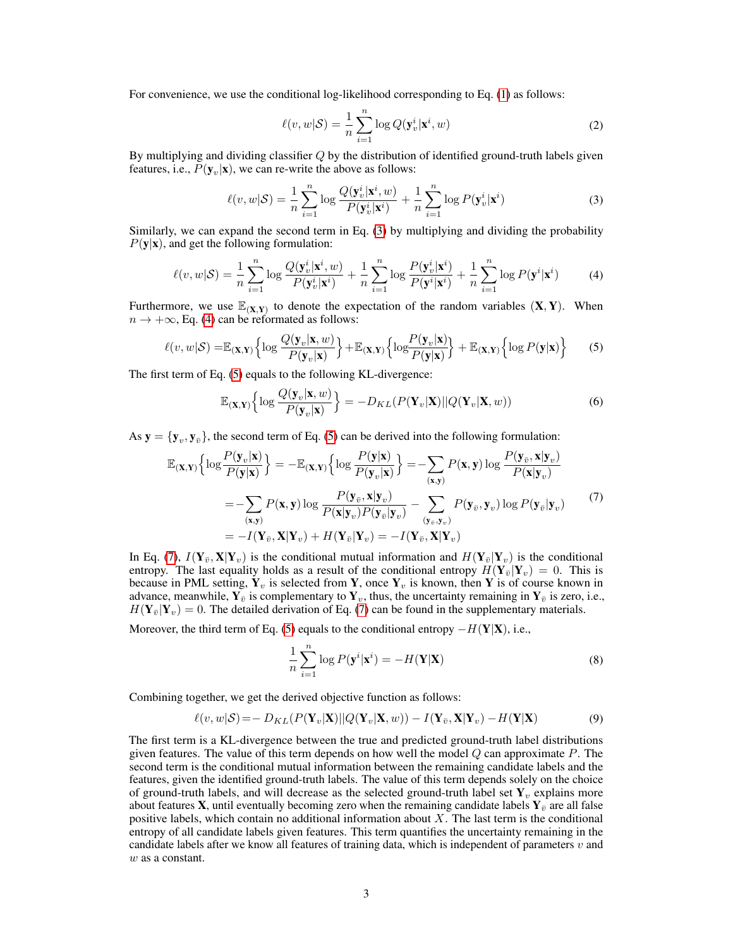For convenience, we use the conditional log-likelihood corresponding to Eq. [\(1\)](#page-1-0) as follows:

<span id="page-2-0"></span>
$$
\ell(v, w | \mathcal{S}) = \frac{1}{n} \sum_{i=1}^{n} \log Q(\mathbf{y}_v^i | \mathbf{x}^i, w)
$$
\n(2)

By multiplying and dividing classifier  $Q$  by the distribution of identified ground-truth labels given features, i.e.,  $P(\mathbf{y}_v|\mathbf{x})$ , we can re-write the above as follows:

<span id="page-2-1"></span>
$$
\ell(v, w | \mathcal{S}) = \frac{1}{n} \sum_{i=1}^{n} \log \frac{Q(\mathbf{y}_v^i | \mathbf{x}^i, w)}{P(\mathbf{y}_v^i | \mathbf{x}^i)} + \frac{1}{n} \sum_{i=1}^{n} \log P(\mathbf{y}_v^i | \mathbf{x}^i)
$$
(3)

Similarly, we can expand the second term in Eq. [\(3\)](#page-2-0) by multiplying and dividing the probability  $P(y|x)$ , and get the following formulation:

$$
\ell(v, w | \mathcal{S}) = \frac{1}{n} \sum_{i=1}^{n} \log \frac{Q(\mathbf{y}_v^i | \mathbf{x}^i, w)}{P(\mathbf{y}_v^i | \mathbf{x}^i)} + \frac{1}{n} \sum_{i=1}^{n} \log \frac{P(\mathbf{y}_v^i | \mathbf{x}^i)}{P(\mathbf{y}^i | \mathbf{x}^i)} + \frac{1}{n} \sum_{i=1}^{n} \log P(\mathbf{y}^i | \mathbf{x}^i)
$$
(4)

Furthermore, we use  $\mathbb{E}_{(X,Y)}$  to denote the expectation of the random variables  $(X,Y)$ . When  $n \rightarrow +\infty$ , Eq. [\(4\)](#page-2-1) can be reformated as follows:

$$
\ell(v, w | \mathcal{S}) = \mathbb{E}_{(\mathbf{X}, \mathbf{Y})} \left\{ \log \frac{Q(\mathbf{y}_v | \mathbf{x}, w)}{P(\mathbf{y}_v | \mathbf{x})} \right\} + \mathbb{E}_{(\mathbf{X}, \mathbf{Y})} \left\{ \log \frac{P(\mathbf{y}_v | \mathbf{x})}{P(\mathbf{y} | \mathbf{x})} \right\} + \mathbb{E}_{(\mathbf{X}, \mathbf{Y})} \left\{ \log P(\mathbf{y} | \mathbf{x}) \right\}
$$
(5)

The first term of Eq. [\(5\)](#page-2-2) equals to the following KL-divergence:

<span id="page-2-3"></span><span id="page-2-2"></span>
$$
\mathbb{E}_{(\mathbf{X},\mathbf{Y})}\Big\{\log\frac{Q(\mathbf{y}_v|\mathbf{x},w)}{P(\mathbf{y}_v|\mathbf{x})}\Big\} = -D_{KL}(P(\mathbf{Y}_v|\mathbf{X})||Q(\mathbf{Y}_v|\mathbf{X},w))\tag{6}
$$

As  $y = {y_v, y_{\bar{v}}},$  the second term of Eq. [\(5\)](#page-2-2) can be derived into the following formulation:

$$
\mathbb{E}_{(\mathbf{X},\mathbf{Y})}\Big\{\log\frac{P(\mathbf{y}_v|\mathbf{x})}{P(\mathbf{y}|\mathbf{x})}\Big\} = -\mathbb{E}_{(\mathbf{X},\mathbf{Y})}\Big\{\log\frac{P(\mathbf{y}|\mathbf{x})}{P(\mathbf{y}_v|\mathbf{x})}\Big\} = -\sum_{(\mathbf{x},\mathbf{y})} P(\mathbf{x},\mathbf{y})\log\frac{P(\mathbf{y}_{\bar{v}},\mathbf{x}|\mathbf{y}_{\bar{v}})}{P(\mathbf{x}|\mathbf{y}_{\bar{v}})}\Big\}
$$
\n
$$
= -\sum_{(\mathbf{x},\mathbf{y})} P(\mathbf{x},\mathbf{y})\log\frac{P(\mathbf{y}_{\bar{v}},\mathbf{x}|\mathbf{y}_{\bar{v}})}{P(\mathbf{x}|\mathbf{y}_{\bar{v}})P(\mathbf{y}_{\bar{v}}|\mathbf{y}_{\bar{v}})} - \sum_{(\mathbf{y}_{\bar{v}},\mathbf{y}_{\bar{v}})} P(\mathbf{y}_{\bar{v}},\mathbf{y}_{\bar{v}})\log P(\mathbf{y}_{\bar{v}}|\mathbf{y}_{\bar{v}})
$$
\n
$$
= -I(\mathbf{Y}_{\bar{v}},\mathbf{X}|\mathbf{Y}_{\bar{v}}) + H(\mathbf{Y}_{\bar{v}}|\mathbf{Y}_{\bar{v}}) = -I(\mathbf{Y}_{\bar{v}},\mathbf{X}|\mathbf{Y}_{\bar{v}})
$$
\n(7)

In Eq. [\(7\)](#page-2-3),  $I(Y_{\bar{v}}, X|Y_v)$  is the conditional mutual information and  $H(Y_{\bar{v}}|Y_v)$  is the conditional entropy. The last equality holds as a result of the conditional entropy  $H(\mathbf{Y}_{\bar{v}}|\mathbf{Y}_v) = 0$ . This is because in PML setting,  $Y_v$  is selected from Y, once  $Y_v$  is known, then Y is of course known in advance, meanwhile,  $Y_{\bar{v}}$  is complementary to  $Y_{v}$ , thus, the uncertainty remaining in  $Y_{\bar{v}}$  is zero, i.e.,  $H(Y_{\overline{v}}|Y_v) = 0$ . The detailed derivation of Eq. [\(7\)](#page-2-3) can be found in the supplementary materials.

Moreover, the third term of Eq. [\(5\)](#page-2-2) equals to the conditional entropy  $-H(Y|X)$ , i.e.,

<span id="page-2-4"></span>
$$
\frac{1}{n}\sum_{i=1}^{n}\log P(\mathbf{y}^{i}|\mathbf{x}^{i}) = -H(\mathbf{Y}|\mathbf{X})
$$
\n(8)

Combining together, we get the derived objective function as follows:

$$
\ell(v, w | \mathcal{S}) = -D_{KL}(P(\mathbf{Y}_v | \mathbf{X}) || Q(\mathbf{Y}_v | \mathbf{X}, w)) - I(\mathbf{Y}_{\bar{v}}, \mathbf{X} | \mathbf{Y}_v) - H(\mathbf{Y} | \mathbf{X})
$$
(9)

The first term is a KL-divergence between the true and predicted ground-truth label distributions given features. The value of this term depends on how well the model  $Q$  can approximate  $P$ . The second term is the conditional mutual information between the remaining candidate labels and the features, given the identified ground-truth labels. The value of this term depends solely on the choice of ground-truth labels, and will decrease as the selected ground-truth label set  $Y<sub>v</sub>$ , explains more about features **X**, until eventually becoming zero when the remaining candidate labels  $Y_{\bar{v}}$  are all false positive labels, which contain no additional information about  $X$ . The last term is the conditional entropy of all candidate labels given features. This term quantifies the uncertainty remaining in the candidate labels after we know all features of training data, which is independent of parameters  $v$  and w as a constant.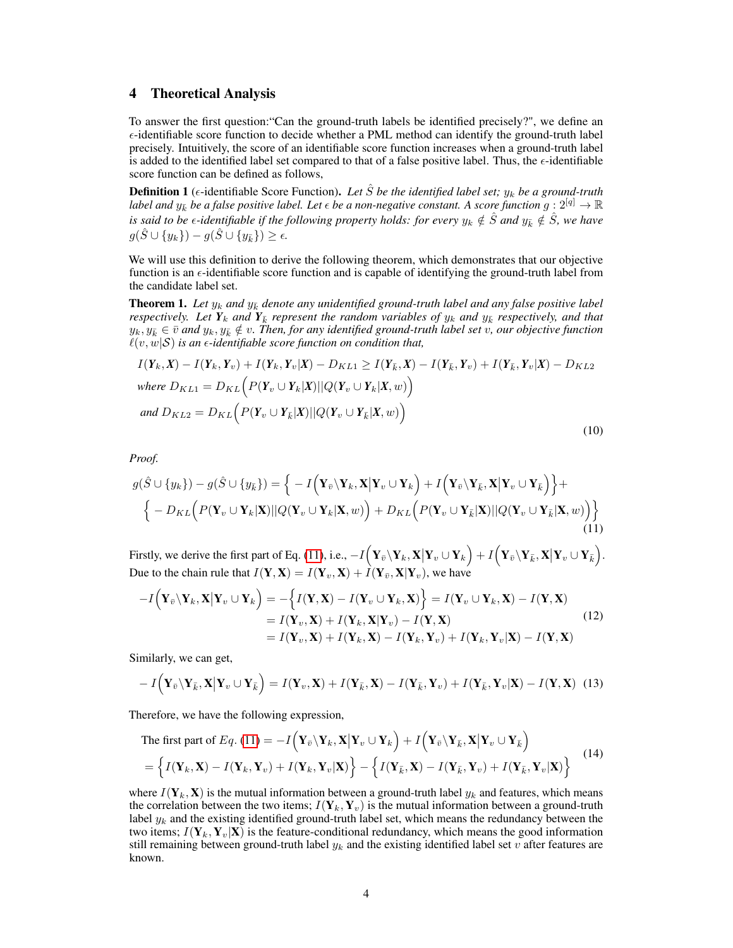## 4 Theoretical Analysis

To answer the first question:"Can the ground-truth labels be identified precisely?", we define an  $\epsilon$ -identifiable score function to decide whether a PML method can identify the ground-truth label precisely. Intuitively, the score of an identifiable score function increases when a ground-truth label is added to the identified label set compared to that of a false positive label. Thus, the  $\epsilon$ -identifiable score function can be defined as follows,

**Definition 1** ( $\epsilon$ -identifiable Score Function). Let S be the identified label set;  $y_k$  be a ground-truth *label and*  $y_k^-$  *be a false positive label. Let*  $\epsilon$  *be a non-negative constant. A score function*  $g: 2^{[q]} \to \mathbb{R}$ *is said to be*  $\epsilon$ -identifiable if the following property holds: for every  $y_k \notin \hat{S}$  and  $y_k \notin \hat{S}$ , we have  $g(\hat{S} \cup \{y_k\}) - g(\hat{S} \cup \{y_{\bar{k}}\}) \geq \epsilon.$ 

We will use this definition to derive the following theorem, which demonstrates that our objective function is an  $\epsilon$ -identifiable score function and is capable of identifying the ground-truth label from the candidate label set.

<span id="page-3-3"></span>**Theorem 1.** Let  $y_k$  and  $y_{\bar{k}}$  denote any unidentified ground-truth label and any false positive label *respectively. Let*  $Y_k$  *and*  $Y_k$  *represent the random variables of*  $y_k$  *and*  $y_k$  *respectively, and that*  $y_k, y_k \in \bar{v}$  and  $y_k, y_k \notin v$ . Then, for any identified ground-truth label set v, our objective function  $\ell(v, w|S)$  *is an*  $\epsilon$ *-identifiable score function on condition that,* 

<span id="page-3-2"></span>
$$
I(\mathbf{Y}_k, \mathbf{X}) - I(\mathbf{Y}_k, \mathbf{Y}_v) + I(\mathbf{Y}_k, \mathbf{Y}_v | \mathbf{X}) - D_{KL1} \ge I(\mathbf{Y}_{\bar{k}}, \mathbf{X}) - I(\mathbf{Y}_{\bar{k}}, \mathbf{Y}_v) + I(\mathbf{Y}_{\bar{k}}, \mathbf{Y}_v | \mathbf{X}) - D_{KL2}
$$
  
where  $D_{KL1} = D_{KL} \Big( P(\mathbf{Y}_v \cup \mathbf{Y}_k | \mathbf{X}) || Q(\mathbf{Y}_v \cup \mathbf{Y}_k | \mathbf{X}, w) \Big)$   
and  $D_{KL2} = D_{KL} \Big( P(\mathbf{Y}_v \cup \mathbf{Y}_{\bar{k}} | \mathbf{X}) || Q(\mathbf{Y}_v \cup \mathbf{Y}_{\bar{k}} | \mathbf{X}, w) \Big)$  (10)

<span id="page-3-0"></span>*Proof.*

$$
g(\hat{S} \cup \{y_k\}) - g(\hat{S} \cup \{y_{\bar{k}}\}) = \Big\{-I(\mathbf{Y}_{\bar{v}} \setminus \mathbf{Y}_k, \mathbf{X} | \mathbf{Y}_v \cup \mathbf{Y}_k) + I(\mathbf{Y}_{\bar{v}} \setminus \mathbf{Y}_{\bar{k}}, \mathbf{X} | \mathbf{Y}_v \cup \mathbf{Y}_{\bar{k}})\Big\} + \Big\{-D_{KL}\Big(P(\mathbf{Y}_v \cup \mathbf{Y}_k | \mathbf{X}) || Q(\mathbf{Y}_v \cup \mathbf{Y}_k | \mathbf{X}, w)\Big) + D_{KL}\Big(P(\mathbf{Y}_v \cup \mathbf{Y}_{\bar{k}} | \mathbf{X}) || Q(\mathbf{Y}_v \cup \mathbf{Y}_{\bar{k}} | \mathbf{X}, w)\Big)\Big\}
$$
(11)

Firstly, we derive the first part of Eq. [\(11\)](#page-3-0), i.e.,  $-I\Big(\mathbf{Y}_{\bar{v}}\setminus\mathbf{Y}_k,\mathbf{X}\big|\mathbf{Y}_v\cup\mathbf{Y}_k\Big) + I\Big(\mathbf{Y}_{\bar{v}}\setminus\mathbf{Y}_{\bar{k}},\mathbf{X}\big|\mathbf{Y}_v\cup\mathbf{Y}_{\bar{k}}\Big)$ . Due to the chain rule that  $I(Y, X) = I(Y_v, X) + \hat{I}(Y_{\bar{v}}, X|Y_v)$ , we have

$$
-I(\mathbf{Y}_{\bar{v}}\backslash\mathbf{Y}_{k},\mathbf{X}|\mathbf{Y}_{v}\cup\mathbf{Y}_{k}) = -\Big\{I(\mathbf{Y},\mathbf{X}) - I(\mathbf{Y}_{v}\cup\mathbf{Y}_{k},\mathbf{X})\Big\} = I(\mathbf{Y}_{v}\cup\mathbf{Y}_{k},\mathbf{X}) - I(\mathbf{Y},\mathbf{X})
$$
  
=  $I(\mathbf{Y}_{v},\mathbf{X}) + I(\mathbf{Y}_{k},\mathbf{X}|\mathbf{Y}_{v}) - I(\mathbf{Y},\mathbf{X})$   
=  $I(\mathbf{Y}_{v},\mathbf{X}) + I(\mathbf{Y}_{k},\mathbf{X}) - I(\mathbf{Y}_{k},\mathbf{Y}_{v}) + I(\mathbf{Y}_{k},\mathbf{Y}_{v}|\mathbf{X}) - I(\mathbf{Y},\mathbf{X})$  (12)

Similarly, we can get,

$$
-I(\mathbf{Y}_{\bar{v}}\backslash\mathbf{Y}_{\bar{k}},\mathbf{X}|\mathbf{Y}_{v}\cup\mathbf{Y}_{\bar{k}})=I(\mathbf{Y}_{v},\mathbf{X})+I(\mathbf{Y}_{\bar{k}},\mathbf{X})-I(\mathbf{Y}_{\bar{k}},\mathbf{Y}_{v})+I(\mathbf{Y}_{\bar{k}},\mathbf{Y}_{v}|\mathbf{X})-I(\mathbf{Y},\mathbf{X})
$$
(13)

Therefore, we have the following expression,

<span id="page-3-1"></span>The first part of 
$$
Eq
$$
. (11) =  $-I(\mathbf{Y}_{\bar{v}}\backslash\mathbf{Y}_k, \mathbf{X}|\mathbf{Y}_v \cup \mathbf{Y}_k) + I(\mathbf{Y}_{\bar{v}}\backslash\mathbf{Y}_{\bar{k}}, \mathbf{X}|\mathbf{Y}_v \cup \mathbf{Y}_{\bar{k}})$   
 = { $I(\mathbf{Y}_k, \mathbf{X}) - I(\mathbf{Y}_k, \mathbf{Y}_v) + I(\mathbf{Y}_k, \mathbf{Y}_v|\mathbf{X})$ } - { $I(\mathbf{Y}_{\bar{k}}, \mathbf{X}) - I(\mathbf{Y}_{\bar{k}}, \mathbf{Y}_v) + I(\mathbf{Y}_{\bar{k}}, \mathbf{Y}_v|\mathbf{X})$ } (14)

where  $I(Y_k, X)$  is the mutual information between a ground-truth label  $y_k$  and features, which means the correlation between the two items;  $I(Y_k, Y_v)$  is the mutual information between a ground-truth label  $y_k$  and the existing identified ground-truth label set, which means the redundancy between the two items;  $I(Y_k, Y_v|X)$  is the feature-conditional redundancy, which means the good information still remaining between ground-truth label  $y_k$  and the existing identified label set v after features are known.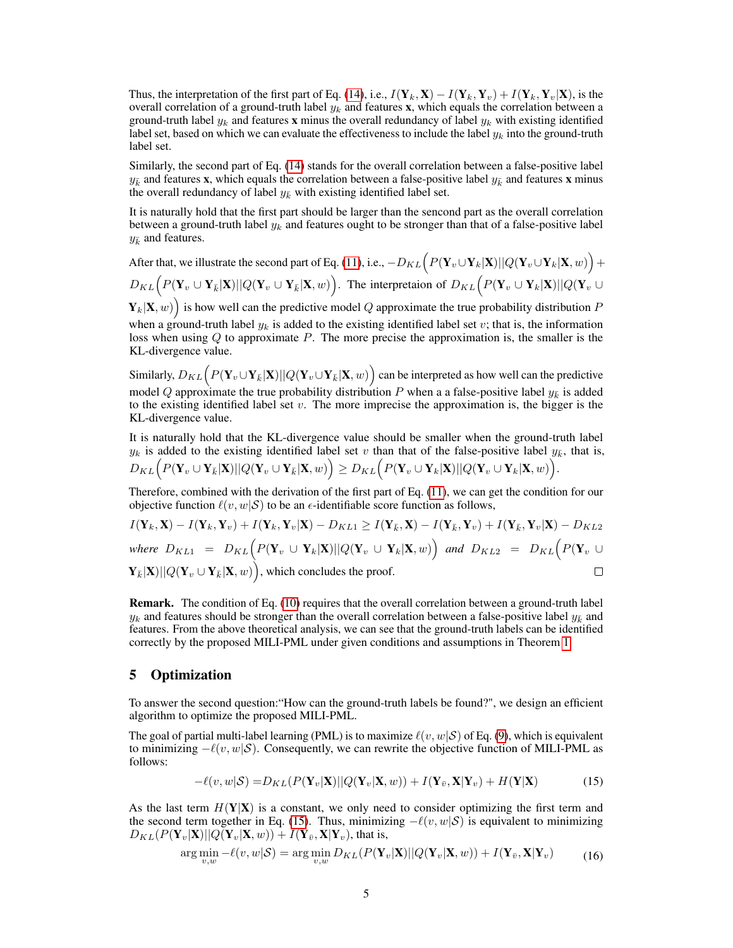Thus, the interpretation of the first part of Eq. [\(14\)](#page-3-1), i.e.,  $I(Y_k, X) - I(Y_k, Y_v) + I(Y_k, Y_v|X)$ , is the overall correlation of a ground-truth label  $y_k$  and features x, which equals the correlation between a ground-truth label  $y_k$  and features x minus the overall redundancy of label  $y_k$  with existing identified label set, based on which we can evaluate the effectiveness to include the label  $y_k$  into the ground-truth label set.

Similarly, the second part of Eq. [\(14\)](#page-3-1) stands for the overall correlation between a false-positive label  $y_k$  and features x, which equals the correlation between a false-positive label  $y_k$  and features x minus the overall redundancy of label  $y_{\bar{k}}$  with existing identified label set.

It is naturally hold that the first part should be larger than the sencond part as the overall correlation between a ground-truth label  $y_k$  and features ought to be stronger than that of a false-positive label  $y_{\bar{k}}$  and features.

After that, we illustrate the second part of Eq. [\(11\)](#page-3-0), i.e.,  $-D_{KL} \Big( P(\mathbf{Y}_v \cup \mathbf{Y}_k|\mathbf{X}) || Q(\mathbf{Y}_v \cup \mathbf{Y}_k|\mathbf{X}, w) \Big) +$  $D_{KL} \Big( P(\mathbf{Y}_v \cup \mathbf{Y}_{\bar{k}}|\mathbf{X}) || Q(\mathbf{Y}_v \cup \mathbf{Y}_{\bar{k}}|\mathbf{X}, w) \Big).$  The interpretaion of  $D_{KL} \Big( P(\mathbf{Y}_v \cup \mathbf{Y}_k|\mathbf{X}) || Q(\mathbf{Y}_v \cup \mathbf{Y}_{\bar{k}}|\mathbf{X}) \Big)$ 

 $(\mathbf{Y}_k|\mathbf{X}, w)$  is how well can the predictive model Q approximate the true probability distribution P when a ground-truth label  $y_k$  is added to the existing identified label set v; that is, the information loss when using Q to approximate P. The more precise the approximation is, the smaller is the KL-divergence value.

Similarly,  $D_{KL} \Big( P(\mathbf{Y}_v \cup \mathbf{Y}_{\bar{k}}|\mathbf{X}) || Q(\mathbf{Y}_v \cup \mathbf{Y}_{\bar{k}}|\mathbf{X}, w) \Big)$  can be interpreted as how well can the predictive model Q approximate the true probability distribution P when a a false-positive label  $y_{\bar{k}}$  is added to the existing identified label set  $v$ . The more imprecise the approximation is, the bigger is the KL-divergence value.

It is naturally hold that the KL-divergence value should be smaller when the ground-truth label  $y_k$  is added to the existing identified label set v than that of the false-positive label  $y_{\bar{k}}$ , that is,  $D_{KL} \Big( P(\mathbf{Y}_v \cup \mathbf{Y}_{\bar{k}}|\mathbf{X}) || Q(\mathbf{Y}_v \cup \mathbf{Y}_{\bar{k}}|\mathbf{X}, w) \Big) \geq D_{KL} \Big( P(\mathbf{Y}_v \cup \mathbf{Y}_k|\mathbf{X}) || Q(\mathbf{Y}_v \cup \mathbf{Y}_k|\mathbf{X}, w) \Big).$ 

Therefore, combined with the derivation of the first part of Eq. [\(11\)](#page-3-0), we can get the condition for our objective function  $\ell(v, w|S)$  to be an  $\epsilon$ -identifiable score function as follows,

$$
I(\mathbf{Y}_k, \mathbf{X}) - I(\mathbf{Y}_k, \mathbf{Y}_v) + I(\mathbf{Y}_k, \mathbf{Y}_v | \mathbf{X}) - D_{KL1} \ge I(\mathbf{Y}_{\bar{k}}, \mathbf{X}) - I(\mathbf{Y}_{\bar{k}}, \mathbf{Y}_v) + I(\mathbf{Y}_{\bar{k}}, \mathbf{Y}_v | \mathbf{X}) - D_{KL2}
$$
  
where  $D_{KL1} = D_{KL} \Big( P(\mathbf{Y}_v \cup \mathbf{Y}_k | \mathbf{X}) || Q(\mathbf{Y}_v \cup \mathbf{Y}_k | \mathbf{X}, w) \Big)$  and  $D_{KL2} = D_{KL} \Big( P(\mathbf{Y}_v \cup \mathbf{Y}_{\bar{k}} | \mathbf{X}, w) \Big)$ , which concludes the proof.

Remark. The condition of Eq. [\(10\)](#page-3-2) requires that the overall correlation between a ground-truth label  $y_k$  and features should be stronger than the overall correlation between a false-positive label  $y_k$  and features. From the above theoretical analysis, we can see that the ground-truth labels can be identified correctly by the proposed MILI-PML under given conditions and assumptions in Theorem [1.](#page-3-3)

## 5 Optimization

To answer the second question:"How can the ground-truth labels be found?", we design an efficient algorithm to optimize the proposed MILI-PML.

The goal of partial multi-label learning (PML) is to maximize  $\ell(v, w|S)$  of Eq. [\(9\)](#page-2-4), which is equivalent to minimizing  $-\ell(v, w|\mathcal{S})$ . Consequently, we can rewrite the objective function of MILI-PML as follows:

<span id="page-4-1"></span><span id="page-4-0"></span>
$$
-\ell(v, w|S) = D_{KL}(P(\mathbf{Y}_v|\mathbf{X})||Q(\mathbf{Y}_v|\mathbf{X}, w)) + I(\mathbf{Y}_{\bar{v}}, \mathbf{X}|\mathbf{Y}_v) + H(\mathbf{Y}|\mathbf{X})
$$
(15)

As the last term  $H(Y|X)$  is a constant, we only need to consider optimizing the first term and the second term together in Eq. [\(15\)](#page-4-0). Thus, minimizing  $-\ell(v, w|S)$  is equivalent to minimizing  $D_{KL}(P(\mathbf{Y}_v|\mathbf{X})||Q(\mathbf{Y}_v|\mathbf{X}, w)) + I(\mathbf{Y}_{\bar{v}}, \mathbf{X}|\mathbf{Y}_v)$ , that is,

$$
\arg\min_{v,w} -\ell(v,w|\mathcal{S}) = \arg\min_{v,w} D_{KL}(P(\mathbf{Y}_v|\mathbf{X})||Q(\mathbf{Y}_v|\mathbf{X},w)) + I(\mathbf{Y}_{\bar{v}},\mathbf{X}|\mathbf{Y}_v) \tag{16}
$$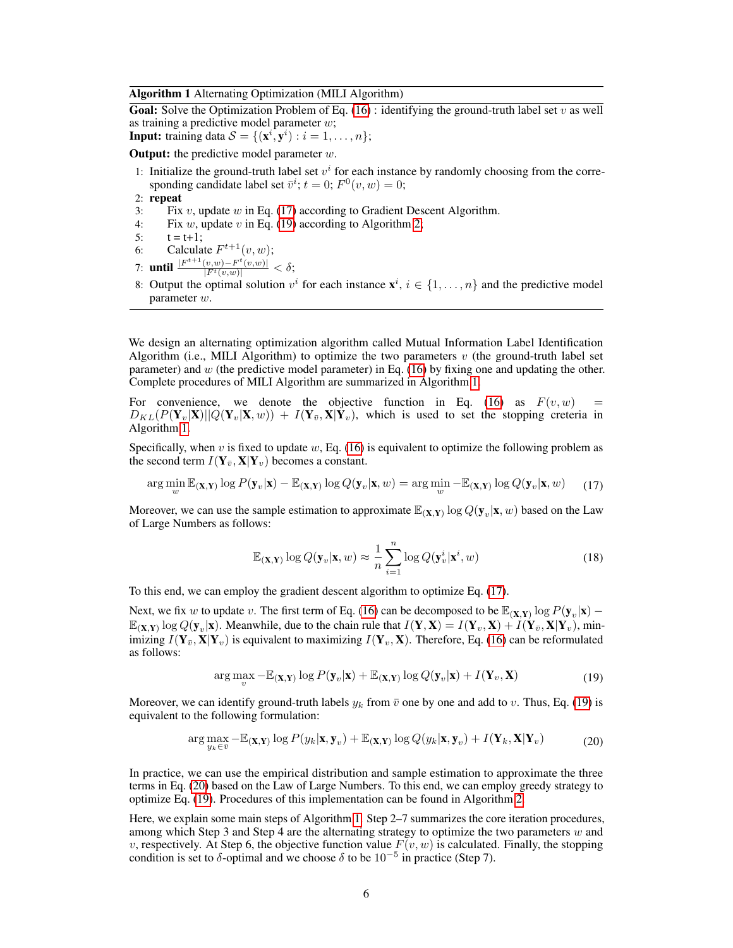#### <span id="page-5-2"></span>Algorithm 1 Alternating Optimization (MILI Algorithm)

**Goal:** Solve the Optimization Problem of Eq. [\(16\)](#page-4-1) : identifying the ground-truth label set v as well as training a predictive model parameter w;

**Input:** training data  $S = \{(\mathbf{x}^i, \mathbf{y}^i) : i = 1, \dots, n\};\$ 

**Output:** the predictive model parameter  $w$ .

- 1: Initialize the ground-truth label set  $v^i$  for each instance by randomly choosing from the corresponding candidate label set  $\bar{v}^i$ ;  $t = 0$ ;  $F^0(v, w) = 0$ ;
- 2: repeat
- 3: Fix  $v$ , update  $w$  in Eq. [\(17\)](#page-5-0) according to Gradient Descent Algorithm.
- 4: Fix w, update v in Eq. [\(19\)](#page-5-1) according to Algorithm [2;](#page-6-0)
- 5:  $t = t + 1$ ;
- 6: Calculate  $F^{t+1}(v, w)$ ;
- 7: **until**  $\frac{|F^{t+1}(v,w)-F^{t}(v,w)|}{|F^{t}(v,w)|} < \delta;$
- 8: Output the optimal solution  $v^i$  for each instance  $\mathbf{x}^i$ ,  $i \in \{1, \dots, n\}$  and the predictive model parameter w.

We design an alternating optimization algorithm called Mutual Information Label Identification Algorithm (i.e., MILI Algorithm) to optimize the two parameters  $v$  (the ground-truth label set parameter) and  $w$  (the predictive model parameter) in Eq. [\(16\)](#page-4-1) by fixing one and updating the other. Complete procedures of MILI Algorithm are summarized in Algorithm [1.](#page-5-2)

For convenience, we denote the objective function in Eq. [\(16\)](#page-4-1) as  $F(v, w)$  $D_{KL}(P(Y_v|\mathbf{X})||Q(Y_v|\mathbf{X}, w)) + I(Y_{\bar{v}}, \mathbf{X}|\mathbf{Y}_v)$ , which is used to set the stopping creteria in Algorithm [1.](#page-5-2)

Specifically, when v is fixed to update  $w$ , Eq. [\(16\)](#page-4-1) is equivalent to optimize the following problem as the second term  $I(Y_{\bar{v}}, X|Y_v)$  becomes a constant.

$$
\arg\min_{w} \mathbb{E}_{(\mathbf{X}, \mathbf{Y})} \log P(\mathbf{y}_v|\mathbf{x}) - \mathbb{E}_{(\mathbf{X}, \mathbf{Y})} \log Q(\mathbf{y}_v|\mathbf{x}, w) = \arg\min_{w} - \mathbb{E}_{(\mathbf{X}, \mathbf{Y})} \log Q(\mathbf{y}_v|\mathbf{x}, w)
$$
(17)

Moreover, we can use the sample estimation to approximate  $\mathbb{E}_{(X,Y)} \log Q(y_v | x, w)$  based on the Law of Large Numbers as follows:

<span id="page-5-0"></span>
$$
\mathbb{E}_{(\mathbf{X}, \mathbf{Y})} \log Q(\mathbf{y}_v | \mathbf{x}, w) \approx \frac{1}{n} \sum_{i=1}^n \log Q(\mathbf{y}_v^i | \mathbf{x}^i, w)
$$
(18)

To this end, we can employ the gradient descent algorithm to optimize Eq. [\(17\)](#page-5-0).

Next, we fix w to update v. The first term of Eq. [\(16\)](#page-4-1) can be decomposed to be  $\mathbb{E}_{(X,Y)} \log P(y_v|x)$  –  $\mathbb{E}_{(\mathbf{X},\mathbf{Y})} \log Q(\mathbf{y}_v|\mathbf{x})$ . Meanwhile, due to the chain rule that  $I(\mathbf{Y},\mathbf{X}) = I(\mathbf{Y}_v,\mathbf{X}) + I(\mathbf{Y}_{\bar{v}},\mathbf{X}|\mathbf{Y}_v)$ , minimizing  $I(Y_{\bar{v}}, X|Y_{\bar{v}})$  is equivalent to maximizing  $I(Y_{\bar{v}}, X)$ . Therefore, Eq. [\(16\)](#page-4-1) can be reformulated as follows:

<span id="page-5-3"></span><span id="page-5-1"></span>
$$
\arg\max_{v} - \mathbb{E}_{(\mathbf{X}, \mathbf{Y})} \log P(\mathbf{y}_v | \mathbf{x}) + \mathbb{E}_{(\mathbf{X}, \mathbf{Y})} \log Q(\mathbf{y}_v | \mathbf{x}) + I(\mathbf{Y}_v, \mathbf{X})
$$
\n(19)

Moreover, we can identify ground-truth labels  $y_k$  from  $\bar{v}$  one by one and add to v. Thus, Eq. [\(19\)](#page-5-1) is equivalent to the following formulation:

$$
\arg\max_{y_k \in \overline{v}} -\mathbb{E}_{(\mathbf{X}, \mathbf{Y})} \log P(y_k | \mathbf{x}, \mathbf{y}_v) + \mathbb{E}_{(\mathbf{X}, \mathbf{Y})} \log Q(y_k | \mathbf{x}, \mathbf{y}_v) + I(\mathbf{Y}_k, \mathbf{X} | \mathbf{Y}_v)
$$
(20)

In practice, we can use the empirical distribution and sample estimation to approximate the three terms in Eq. [\(20\)](#page-5-3) based on the Law of Large Numbers. To this end, we can employ greedy strategy to optimize Eq. [\(19\)](#page-5-1). Procedures of this implementation can be found in Algorithm [2.](#page-6-0)

Here, we explain some main steps of Algorithm [1.](#page-5-2) Step 2–7 summarizes the core iteration procedures, among which Step 3 and Step 4 are the alternating strategy to optimize the two parameters  $w$  and v, respectively. At Step 6, the objective function value  $F(v, w)$  is calculated. Finally, the stopping condition is set to  $\delta$ -optimal and we choose  $\delta$  to be  $10^{-5}$  in practice (Step 7).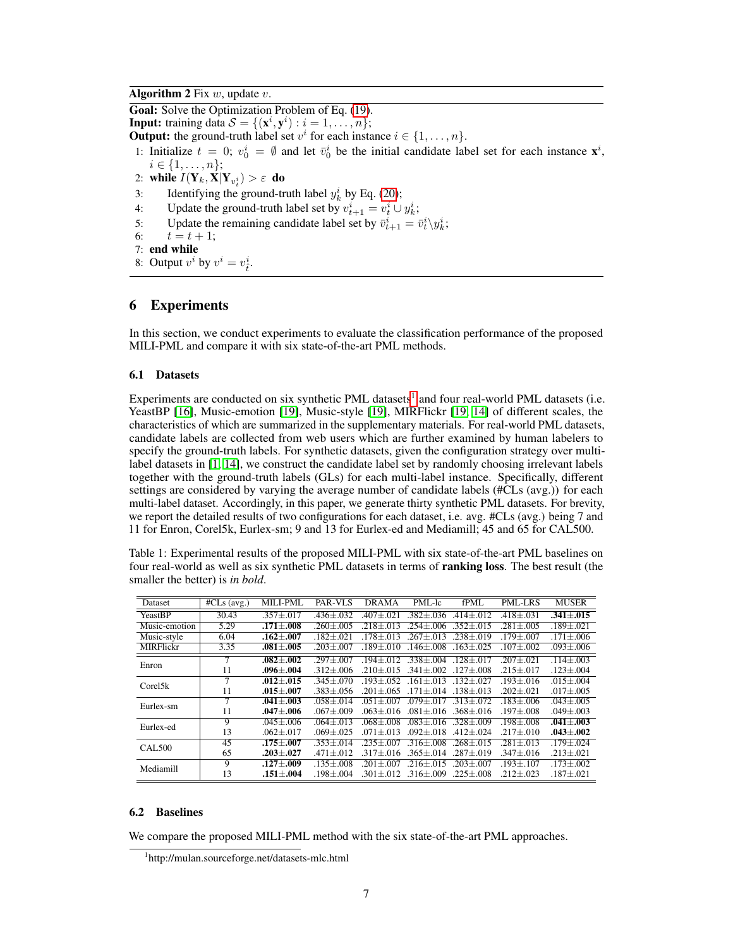## <span id="page-6-0"></span>Algorithm 2 Fix  $w$ , update  $v$ .

Goal: Solve the Optimization Problem of Eq. [\(19\)](#page-5-1).

**Input:** training data  $S = \{(\mathbf{x}^i, \mathbf{y}^i) : i = 1, \ldots, n\};\$ 

**Output:** the ground-truth label set  $v^i$  for each instance  $i \in \{1, \ldots, n\}$ .

1: Initialize  $t = 0$ ;  $v_0^i = \emptyset$  and let  $\bar{v}_0^i$  be the initial candidate label set for each instance  $\mathbf{x}^i$ ,  $i \in \{1, \ldots, n\};$ 

- 2: while  $I(\mathbf{Y}_k, \mathbf{X} | \mathbf{Y}_{v_t^i}) > \varepsilon$  do
- 3: Identifying the ground-truth label  $y_k^i$  by Eq. [\(20\)](#page-5-3);
- 4: Update the ground-truth label set by  $v_{t+1}^i = v_t^i \cup y_k^i$ ;
- 5: Update the remaining candidate label set by  $\bar{v}_{t+1}^i = \bar{v}_t^i \setminus y_k^i$ ;
- 6:  $t = t + 1;$
- 7: end while
- 8: Output  $v^i$  by  $v^i = v^i_{\hat{t}}$ .

# 6 Experiments

In this section, we conduct experiments to evaluate the classification performance of the proposed MILI-PML and compare it with six state-of-the-art PML methods.

#### 6.1 Datasets

Experiments are conducted on six synthetic PML datasets<sup>[1](#page-6-1)</sup> and four real-world PML datasets (i.e. YeastBP [\[16\]](#page-9-15), Music-emotion [\[19\]](#page-9-18), Music-style [\[19\]](#page-9-18), MIRFlickr [\[19,](#page-9-18) [14\]](#page-9-13) of different scales, the characteristics of which are summarized in the supplementary materials. For real-world PML datasets, candidate labels are collected from web users which are further examined by human labelers to specify the ground-truth labels. For synthetic datasets, given the configuration strategy over multilabel datasets in [\[1,](#page-9-0) [14\]](#page-9-13), we construct the candidate label set by randomly choosing irrelevant labels together with the ground-truth labels (GLs) for each multi-label instance. Specifically, different settings are considered by varying the average number of candidate labels (#CLs (avg.)) for each multi-label dataset. Accordingly, in this paper, we generate thirty synthetic PML datasets. For brevity, we report the detailed results of two configurations for each dataset, i.e. avg. #CLs (avg.) being 7 and 11 for Enron, Corel5k, Eurlex-sm; 9 and 13 for Eurlex-ed and Mediamill; 45 and 65 for CAL500.

<span id="page-6-2"></span>Table 1: Experimental results of the proposed MILI-PML with six state-of-the-art PML baselines on four real-world as well as six synthetic PML datasets in terms of **ranking loss**. The best result (the smaller the better) is *in bold*.

| Dataset          | $\overline{\text{HCLs}}$ (avg.) | <b>MILI-PML</b>   | PAR-VLS         | <b>DRAMA</b>      | PML-lc            | <b>fPML</b>     | <b>PML-LRS</b>    | <b>MUSER</b>      |
|------------------|---------------------------------|-------------------|-----------------|-------------------|-------------------|-----------------|-------------------|-------------------|
| YeastBP          | 30.43                           | $.357 + .017$     | $.436 + .032$   | $.407 + .021$     | $.382 + .036$     | $.414 + .012$   | $.418 + .031$     | $.341 + .015$     |
| Music-emotion    | 5.29                            | $.171 + .008$     | $.260 \pm .005$ | $.218 \pm .013$   | $254 + 006$       | $.352 \pm .015$ | $.281 + .005$     | $.189 \pm .021$   |
| Music-style      | 6.04                            | $.162 \pm .007$   | $.182 + .021$   | $.178 + .013$     | $.267 + .013$     | $.238 \pm .019$ | $.179 + .007$     | $.171 \pm .006$   |
| <b>MIRFlickr</b> | 3.35                            | $.081 {\pm} .005$ | $.203 \pm .007$ | $.189 + .010$     | $146 + 008$       | $.163 + .025$   | $.107 {\pm} .002$ | $.093 \pm .006$   |
| Enron            | 7                               | $.082 - .002$     | $.297 + .007$   | $.194 + .012$     | $.338 + .004$     | $.128 + .017$   | $.207 + .021$     | $.114 + .003$     |
|                  | 11                              | $.096 {\pm} .004$ | $.312 \pm .006$ | $.210 + .015$     | $.341 + .002$     | $.127 + .008$   | $.215 + .017$     | $.123 \pm .004$   |
| Corel5k          | $\overline{7}$                  | $.012 + .015$     | $.345 + .070$   | $.193 + .052$     | $161 + 013$       | $.132 + .027$   | $.193 + .016$     | $.015 + .004$     |
|                  | 11                              | $.015 {\pm} .007$ | $.383 + .056$   | $.201 \pm .065$   | $171 + 014$       | $.138 \pm .013$ | $.202 \pm .021$   | $.017 \pm .005$   |
| Eurlex-sm        |                                 | $.041 + .003$     | $.058 + .014$   | $.051 + .007$     | $.079 + .017$     | $.313 + .072$   | $.183 + .006$     | $.043 + .005$     |
|                  | 11                              | $.047 + .006$     | $.067 + .009$   | $.063 + .016$     | $.081 + .016$     | $.368 + .016$   | $.197 {\pm} .008$ | $.049 {\pm} .003$ |
| Eurlex-ed        | 9                               | $.045 \pm .006$   | $.064 + .013$   | $.068 {\pm} .008$ | $.083 + .016$     | $.328 + .009$   | $.198 {\pm} .008$ | $.041 {\pm} .003$ |
|                  | 13                              | $.062 + .017$     | $.069 + .025$   | $.071 + .013$     | $.092 + .018$     | $.412 \pm .024$ | $.217 \pm .010$   | $.043 + .002$     |
| <b>CAL500</b>    | 45                              | $.175 \pm .007$   | $.353 + .014$   | $.235 + .007$     | $.316 \pm .008$   | $.268 + .015$   | $.281 \pm .013$   | $.179 \pm .024$   |
|                  | 65                              | $.203 + .027$     | $.471 + .012$   | $.317 + .016$     | $.365 + .014$     | $.287 + .019$   | $.347 \pm .016$   | $.213 + .021$     |
| Mediamill        | 9                               | $.127 \pm .009$   | $.135 + .008$   | $.201 + .007$     | $.216 + .015$     | $.203 + .007$   | $.193 + .107$     | $.173 \pm .002$   |
|                  | 13                              | $.151 {\pm} .004$ | $.198 \pm .004$ | $.301 {\pm} .012$ | $.316 {\pm} .009$ | $.225 \pm .008$ | $.212 + .023$     | $.187 \pm .021$   |

#### 6.2 Baselines

We compare the proposed MILI-PML method with the six state-of-the-art PML approaches.

<span id="page-6-1"></span><sup>1</sup> http://mulan.sourceforge.net/datasets-mlc.html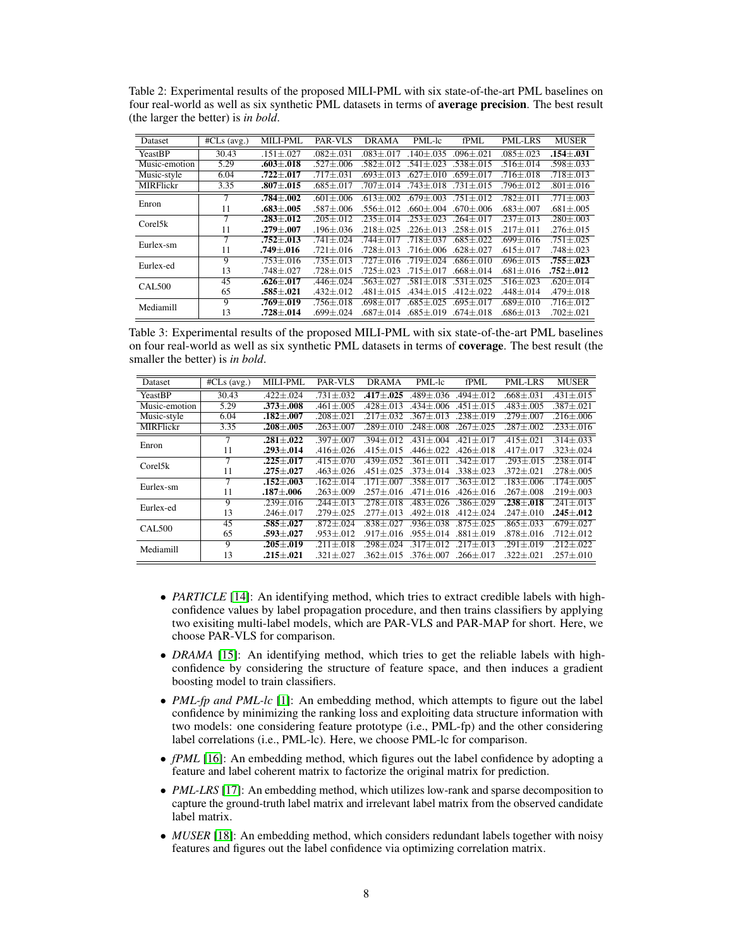<span id="page-7-0"></span>Table 2: Experimental results of the proposed MILI-PML with six state-of-the-art PML baselines on four real-world as well as six synthetic PML datasets in terms of **average precision**. The best result (the larger the better) is *in bold*.

| $\overline{\text{HCLs}}$ (avg.) | <b>MILI-PML</b>   | PAR-VLS           | <b>DRAMA</b>  | PML-lc        | <b>fPML</b>     | <b>PML-LRS</b>    | <b>MUSER</b>      |
|---------------------------------|-------------------|-------------------|---------------|---------------|-----------------|-------------------|-------------------|
| 30.43                           | $.151 \pm .027$   | $.082 \pm .031$   | $.083 + .017$ | $.140 + .035$ | $.096 + .021$   | $.085 + .023$     | $.154 - .031$     |
| 5.29                            | $.603 + .018$     | $.527 \pm .006$   | $.582 + .012$ | $.541 + .023$ | $.538 + .015$   | $.516 + .014$     | $.598 + .033$     |
| 6.04                            | $.722 {\pm} .017$ | $.717\pm.031$     | $.693 + .013$ | $.627 + .010$ | $.659 + .017$   | .716±.018         | $.718 \pm .013$   |
| 3.35                            | $.807 + .015$     | $.685 \pm .017$   | $.707 + .014$ | $.743 + .018$ | $.731 + .015$   | $.796 + .012$     | $.801 \pm .016$   |
| 7                               | $.784 + .002$     | $.601 + .006$     | $.613 + .002$ | $.679 + .003$ | $.751 + .012$   | $.782 + .011$     | $.771 + .003$     |
| 11                              | .683+.005         | $.587 + .006$     | $.556 + .012$ | $.660 + .004$ | $.670 + .006$   | $.683 + .007$     | $.681 + .005$     |
| 7                               | $.283 \pm .012$   | $.205 + .012$     | $.235 + .014$ | $.253 + .023$ | $.264 + .017$   | $.237 \pm .013$   | $.280 + .003$     |
| 11                              | $.279 {\pm} .007$ | $.196 + .036$     | $.218 + .025$ | $.226 + .013$ | $.258 \pm .015$ | $.217 \pm .011$   | $.276 {\pm} .015$ |
| 7                               | $.752 + .013$     | $.741 + .024$     | $744+017$     | $.718 + .037$ | $.685 + .022$   | .699+.016         | $.751 + .025$     |
| 11                              | $.749 {\pm} .016$ | $.721 + .016$     | $.728 + .013$ | $.716 + .006$ | $.628 + .027$   | .615 $\pm$ .017   | $.748 \pm .023$   |
| 9                               | $.753 + .016$     | $.735 + .013$     | $.727 + .016$ | $719 + 024$   | $.686 + .010$   | $.696 + .015$     | $.755 + .023$     |
| 13                              | $.748 + .027$     | $.728 \pm .015$   | $.725 + .023$ | $.715 + .017$ | $.668 + .014$   | $.681 + .016$     | $.752 + .012$     |
| 45                              | $.626 \pm .017$   | $.446 + .024$     | $.563 + .027$ | $.581 + .018$ | $.531 + .025$   | $.516 + .023$     | $.620 \pm .014$   |
| 65                              | $.585 + .021$     | $.432 \pm .012$   | $.481 + .015$ | $.434 + .015$ | $.412 + .022$   | $.448 \pm .014$   | $.479 \pm .018$   |
| 9                               | $.769 + .019$     | $.756 \pm .018$   | $.698 + .017$ | $.685 + .025$ | $.695 + .017$   | $.689 + .010$     | $.716 + .012$     |
| 13                              | $.728 {\pm} .014$ | $.699 {\pm} .024$ | $.687 + .014$ | $.685 + .019$ | $.674 \pm .018$ | $.686 {\pm} .013$ | $.702 \pm .021$   |
|                                 |                   |                   |               |               |                 |                   |                   |

<span id="page-7-1"></span>Table 3: Experimental results of the proposed MILI-PML with six state-of-the-art PML baselines on four real-world as well as six synthetic PML datasets in terms of coverage. The best result (the smaller the better) is *in bold*.

| Dataset          | $\overline{\text{HCLs}}$ (avg.) | <b>MILI-PML</b>   | PAR-VLS         | DRAMA           | PML-lc          | <b>fPML</b>     | <b>PML-LRS</b>    | <b>MUSER</b>    |
|------------------|---------------------------------|-------------------|-----------------|-----------------|-----------------|-----------------|-------------------|-----------------|
| YeastBP          | 30.43                           | $.422 + .024$     | $.731 + .032$   | $.417 + .025$   | $.489 + .036$   | $.494 + .012$   | $.668 + .031$     | $.431 + .015$   |
| Music-emotion    | 5.29                            | $.373 + .008$     | $.461 + .005$   | $.428 + .013$   | $.434 + .006$   | $.451 + .015$   | $.483 \pm .005$   | $.387 + .021$   |
| Music-style      | 6.04                            | $.182 + .007$     | $.208 + .021$   | $.217 + .032$   | $.367 \pm .013$ | $.238 \pm .019$ | $.279 + .007$     | $.216 + .006$   |
| <b>MIRFlickr</b> | 3.35                            | $.208 + .005$     | $.263 + .007$   | $.289 + .010$   | $.248 + .008$   | $.267 + .025$   | $.287 + .002$     | $.233 \pm .016$ |
| Enron            | 7                               | $.281 \pm .022$   | $.397 + .007$   | $.394 + .012$   | $.431 + .004$   | $.421 + .017$   | $.415 \pm .021$   | $.314 + .033$   |
|                  | 11                              | $.293 + .014$     | $.416 + .026$   | $.415 \pm .015$ | $.446 + .022$   | $.426 \pm .018$ | $.417 \pm .017$   | $.323 + .024$   |
| Corel5k          | 7                               | $.225 + .017$     | $.415 \pm .070$ | $.439 + .052$   | $.361 + .011$   | $.342 + .017$   | $.293 + .015$     | $.238 + .014$   |
|                  | 11                              | $.275 {\pm} .027$ | $.463 + .026$   | $.451 + .025$   | $.373 + .014$   | $.338 + .023$   | $.372 + .021$     | $.278 \pm .005$ |
| Eurlex-sm        | 7                               | $.152 + .003$     | $.162 + .014$   | $.171 + .007$   | $.358 + .017$   | $.363 + .012$   | $.183 + .006$     | $.174 + .005$   |
|                  | 11                              | $.187 + .006$     | $.263 + .009$   | $.257 + .016$   | $.471 \pm .016$ | $.426 \pm .016$ | $.267 + .008$     | $.219 + .003$   |
| Eurlex-ed        | 9                               | $.239 + .016$     | $.244 + .013$   | $.278 + .018$   | $.483 + .026$   | $.386 + .029$   | $.238 {\pm} .018$ | $.241 + .013$   |
|                  | 13                              | $.246 + .017$     | $.279 + .025$   | $.277 + .013$   | $.492 + .018$   | $.412 + .024$   | $.247 \pm .010$   | .245+.012       |
| <b>CAL500</b>    | 45                              | $.585 {\pm} .027$ | $.872 \pm .024$ | $.838 + .027$   | $.936 + .038$   | $.875 + .025$   | $.865 \pm .033$   | $.679 + .027$   |
|                  | 65                              | $.593 {\pm} .027$ | $.953 + .012$   | $.917 + .016$   | $.955 + .014$   | $.881 + .019$   | $.878 + .016$     | $.712 \pm .012$ |
| Mediamill        | 9                               | $.205 + .019$     | $.211 + .018$   | $.298 + .024$   | $.317 \pm .012$ | $.217 + .013$   | $.291 \pm .019$   | $.212 \pm .022$ |
|                  | 13                              | $.215 {\pm} .021$ | $.321 + .027$   | $.362 + .015$   | $.376 + .007$   | $.266 + .017$   | $.322 + .021$     | $.257 \pm .010$ |

- *PARTICLE* [\[14\]](#page-9-13): An identifying method, which tries to extract credible labels with highconfidence values by label propagation procedure, and then trains classifiers by applying two exisiting multi-label models, which are PAR-VLS and PAR-MAP for short. Here, we choose PAR-VLS for comparison.
- *DRAMA* [\[15\]](#page-9-14): An identifying method, which tries to get the reliable labels with highconfidence by considering the structure of feature space, and then induces a gradient boosting model to train classifiers.
- *PML-fp and PML-lc* [\[1\]](#page-9-0): An embedding method, which attempts to figure out the label confidence by minimizing the ranking loss and exploiting data structure information with two models: one considering feature prototype (i.e., PML-fp) and the other considering label correlations (i.e., PML-lc). Here, we choose PML-lc for comparison.
- *fPML* [\[16\]](#page-9-15): An embedding method, which figures out the label confidence by adopting a feature and label coherent matrix to factorize the original matrix for prediction.
- *PML-LRS* [\[17\]](#page-9-16): An embedding method, which utilizes low-rank and sparse decomposition to capture the ground-truth label matrix and irrelevant label matrix from the observed candidate label matrix.
- *MUSER* [\[18\]](#page-9-17): An embedding method, which considers redundant labels together with noisy features and figures out the label confidence via optimizing correlation matrix.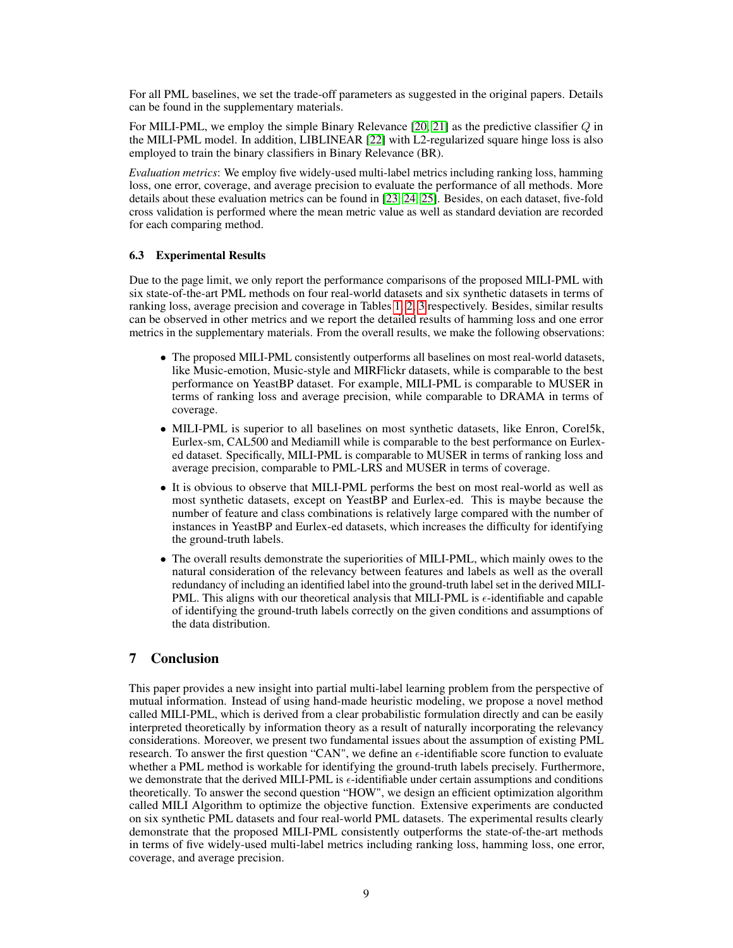For all PML baselines, we set the trade-off parameters as suggested in the original papers. Details can be found in the supplementary materials.

For MILI-PML, we employ the simple Binary Relevance  $[20, 21]$  $[20, 21]$  $[20, 21]$  as the predictive classifier  $Q$  in the MILI-PML model. In addition, LIBLINEAR [\[22\]](#page-9-21) with L2-regularized square hinge loss is also employed to train the binary classifiers in Binary Relevance (BR).

*Evaluation metrics*: We employ five widely-used multi-label metrics including ranking loss, hamming loss, one error, coverage, and average precision to evaluate the performance of all methods. More details about these evaluation metrics can be found in [\[23,](#page-9-22) [24,](#page-9-23) [25\]](#page-9-24). Besides, on each dataset, five-fold cross validation is performed where the mean metric value as well as standard deviation are recorded for each comparing method.

#### 6.3 Experimental Results

Due to the page limit, we only report the performance comparisons of the proposed MILI-PML with six state-of-the-art PML methods on four real-world datasets and six synthetic datasets in terms of ranking loss, average precision and coverage in Tables [1,](#page-6-2) [2,](#page-7-0) [3](#page-7-1) respectively. Besides, similar results can be observed in other metrics and we report the detailed results of hamming loss and one error metrics in the supplementary materials. From the overall results, we make the following observations:

- The proposed MILI-PML consistently outperforms all baselines on most real-world datasets, like Music-emotion, Music-style and MIRFlickr datasets, while is comparable to the best performance on YeastBP dataset. For example, MILI-PML is comparable to MUSER in terms of ranking loss and average precision, while comparable to DRAMA in terms of coverage.
- MILI-PML is superior to all baselines on most synthetic datasets, like Enron, Corel5k, Eurlex-sm, CAL500 and Mediamill while is comparable to the best performance on Eurlexed dataset. Specifically, MILI-PML is comparable to MUSER in terms of ranking loss and average precision, comparable to PML-LRS and MUSER in terms of coverage.
- It is obvious to observe that MILI-PML performs the best on most real-world as well as most synthetic datasets, except on YeastBP and Eurlex-ed. This is maybe because the number of feature and class combinations is relatively large compared with the number of instances in YeastBP and Eurlex-ed datasets, which increases the difficulty for identifying the ground-truth labels.
- The overall results demonstrate the superiorities of MILI-PML, which mainly owes to the natural consideration of the relevancy between features and labels as well as the overall redundancy of including an identified label into the ground-truth label set in the derived MILI-PML. This aligns with our theoretical analysis that MILI-PML is  $\epsilon$ -identifiable and capable of identifying the ground-truth labels correctly on the given conditions and assumptions of the data distribution.

# 7 Conclusion

This paper provides a new insight into partial multi-label learning problem from the perspective of mutual information. Instead of using hand-made heuristic modeling, we propose a novel method called MILI-PML, which is derived from a clear probabilistic formulation directly and can be easily interpreted theoretically by information theory as a result of naturally incorporating the relevancy considerations. Moreover, we present two fundamental issues about the assumption of existing PML research. To answer the first question "CAN", we define an  $\epsilon$ -identifiable score function to evaluate whether a PML method is workable for identifying the ground-truth labels precisely. Furthermore, we demonstrate that the derived MILI-PML is  $\epsilon$ -identifiable under certain assumptions and conditions theoretically. To answer the second question "HOW", we design an efficient optimization algorithm called MILI Algorithm to optimize the objective function. Extensive experiments are conducted on six synthetic PML datasets and four real-world PML datasets. The experimental results clearly demonstrate that the proposed MILI-PML consistently outperforms the state-of-the-art methods in terms of five widely-used multi-label metrics including ranking loss, hamming loss, one error, coverage, and average precision.